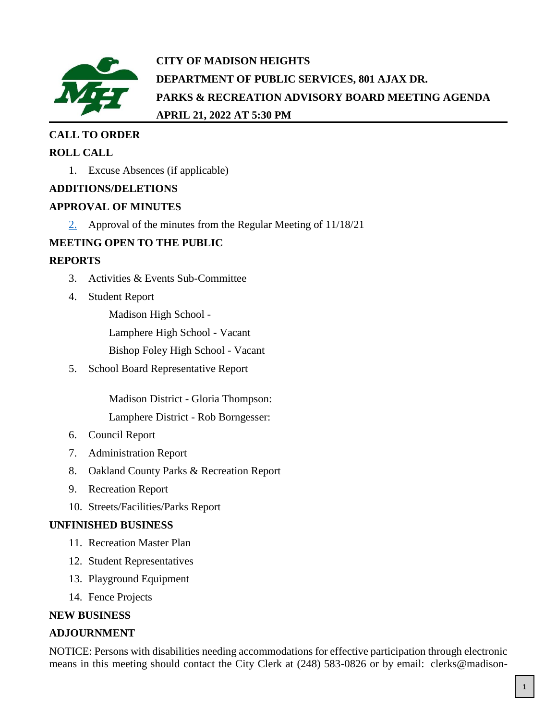

# **CITY OF MADISON HEIGHTS DEPARTMENT OF PUBLIC SERVICES, 801 AJAX DR. PARKS & RECREATION ADVISORY BOARD MEETING AGENDA APRIL 21, 2022 AT 5:30 PM**

### **CALL TO ORDER**

### **ROLL CALL**

1. Excuse Absences (if applicable)

### **ADDITIONS/DELETIONS**

### **APPROVAL OF MINUTES**

 $\frac{2}{2}$  Approval of the minutes from the Regular Meeting of 11/18/21

### **MEETING OPEN TO THE PUBLIC**

### **REPORTS**

- 3. Activities & Events Sub-Committee
- 4. Student Report

Madison High School - Lamphere High School - Vacant Bishop Foley High School - Vacant

5. School Board Representative Report

Madison District - Gloria Thompson:

Lamphere District - Rob Borngesser:

- 6. Council Report
- 7. Administration Report
- 8. Oakland County Parks & Recreation Report
- 9. Recreation Report
- 10. Streets/Facilities/Parks Report

### **UNFINISHED BUSINESS**

- 11. Recreation Master Plan
- 12. Student Representatives
- 13. Playground Equipment
- 14. Fence Projects

### **NEW BUSINESS**

### **ADJOURNMENT**

NOTICE: Persons with disabilities needing accommodations for effective participation through electronic means in this meeting should contact the City Clerk at (248) 583-0826 or by email: clerks@madison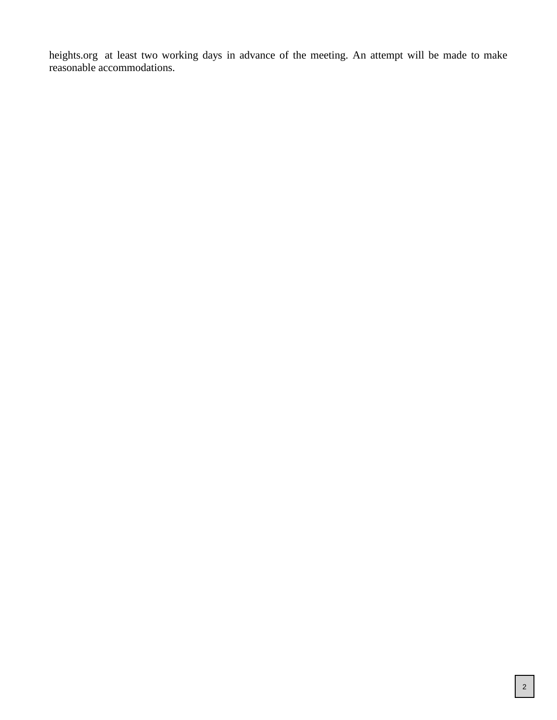heights.org at least two working days in advance of the meeting. An attempt will be made to make reasonable accommodations.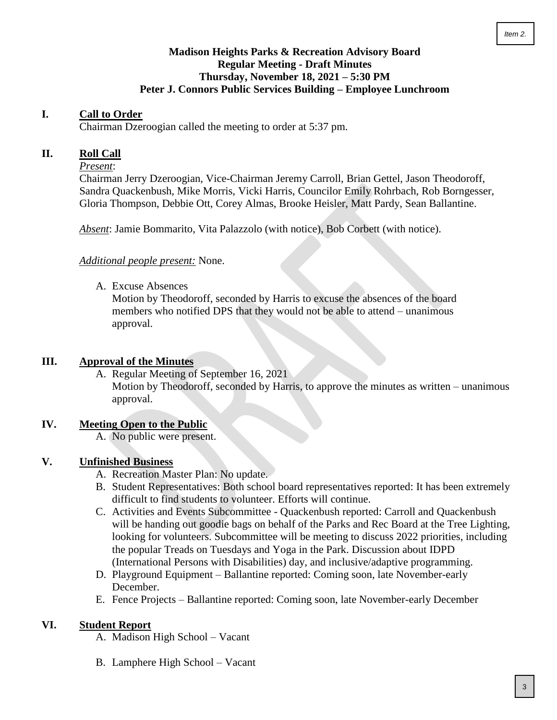### **Madison Heights Parks & Recreation Advisory Board Regular Meeting - Draft Minutes Thursday, November 18, 2021 – 5:30 PM Peter J. Connors Public Services Building – Employee Lunchroom**

#### <span id="page-2-0"></span>**I. Call to Order**

Chairman Dzeroogian called the meeting to order at 5:37 pm.

#### **II. Roll Call**

#### *Present*:

Chairman Jerry Dzeroogian, Vice-Chairman Jeremy Carroll, Brian Gettel, Jason Theodoroff, Sandra Quackenbush, Mike Morris, Vicki Harris, Councilor Emily Rohrbach, Rob Borngesser, Gloria Thompson, Debbie Ott, Corey Almas, Brooke Heisler, Matt Pardy, Sean Ballantine.

*Absent*: Jamie Bommarito, Vita Palazzolo (with notice), Bob Corbett (with notice).

#### *Additional people present:* None.

A. Excuse Absences

Motion by Theodoroff, seconded by Harris to excuse the absences of the board members who notified DPS that they would not be able to attend – unanimous approval.

#### **III. Approval of the Minutes**

A. Regular Meeting of September 16, 2021 Motion by Theodoroff, seconded by Harris, to approve the minutes as written – unanimous approval.

#### **IV. Meeting Open to the Public**

A. No public were present.

#### **V. Unfinished Business**

- A. Recreation Master Plan: No update.
- B. Student Representatives: Both school board representatives reported: It has been extremely difficult to find students to volunteer. Efforts will continue.
- C. Activities and Events Subcommittee Quackenbush reported: Carroll and Quackenbush will be handing out goodie bags on behalf of the Parks and Rec Board at the Tree Lighting, looking for volunteers. Subcommittee will be meeting to discuss 2022 priorities, including the popular Treads on Tuesdays and Yoga in the Park. Discussion about IDPD (International Persons with Disabilities) day, and inclusive/adaptive programming.
- D. Playground Equipment Ballantine reported: Coming soon, late November-early December.
- E. Fence Projects Ballantine reported: Coming soon, late November-early December

#### **VI. Student Report**

A. Madison High School – Vacant

B. Lamphere High School – Vacant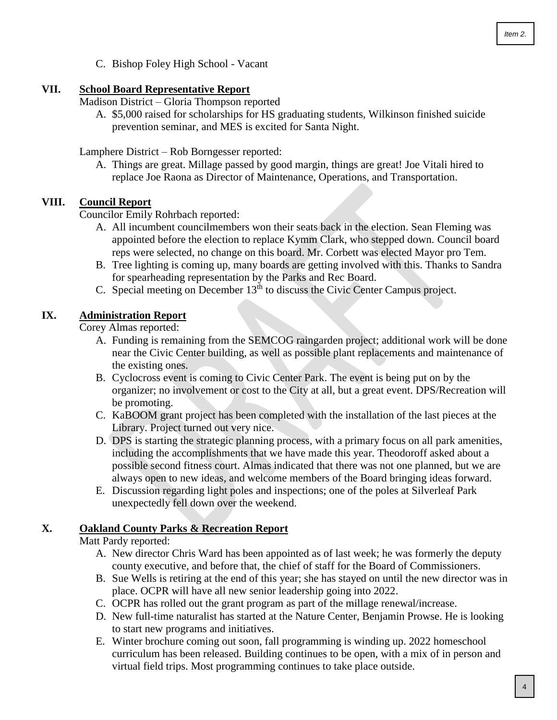C. Bishop Foley High School - Vacant

#### **VII. School Board Representative Report**

Madison District – Gloria Thompson reported

A. \$5,000 raised for scholarships for HS graduating students, Wilkinson finished suicide prevention seminar, and MES is excited for Santa Night.

Lamphere District – Rob Borngesser reported:

A. Things are great. Millage passed by good margin, things are great! Joe Vitali hired to replace Joe Raona as Director of Maintenance, Operations, and Transportation.

#### **VIII. Council Report**

Councilor Emily Rohrbach reported:

- A. All incumbent councilmembers won their seats back in the election. Sean Fleming was appointed before the election to replace Kymm Clark, who stepped down. Council board reps were selected, no change on this board. Mr. Corbett was elected Mayor pro Tem.
- B. Tree lighting is coming up, many boards are getting involved with this. Thanks to Sandra for spearheading representation by the Parks and Rec Board.
- C. Special meeting on December  $13<sup>th</sup>$  to discuss the Civic Center Campus project.

### **IX. Administration Report**

Corey Almas reported:

- A. Funding is remaining from the SEMCOG raingarden project; additional work will be done near the Civic Center building, as well as possible plant replacements and maintenance of the existing ones.
- B. Cyclocross event is coming to Civic Center Park. The event is being put on by the organizer; no involvement or cost to the City at all, but a great event. DPS/Recreation will be promoting.
- C. KaBOOM grant project has been completed with the installation of the last pieces at the Library. Project turned out very nice.
- D. DPS is starting the strategic planning process, with a primary focus on all park amenities, including the accomplishments that we have made this year. Theodoroff asked about a possible second fitness court. Almas indicated that there was not one planned, but we are always open to new ideas, and welcome members of the Board bringing ideas forward.
- E. Discussion regarding light poles and inspections; one of the poles at Silverleaf Park unexpectedly fell down over the weekend.

#### **X. Oakland County Parks & Recreation Report**

Matt Pardy reported:

- A. New director Chris Ward has been appointed as of last week; he was formerly the deputy county executive, and before that, the chief of staff for the Board of Commissioners.
- B. Sue Wells is retiring at the end of this year; she has stayed on until the new director was in place. OCPR will have all new senior leadership going into 2022.
- C. OCPR has rolled out the grant program as part of the millage renewal/increase.
- D. New full-time naturalist has started at the Nature Center, Benjamin Prowse. He is looking to start new programs and initiatives.
- E. Winter brochure coming out soon, fall programming is winding up. 2022 homeschool curriculum has been released. Building continues to be open, with a mix of in person and virtual field trips. Most programming continues to take place outside.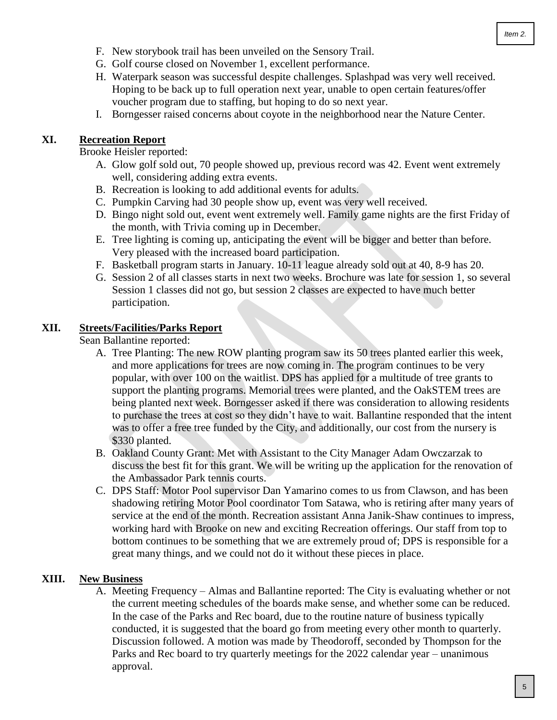- F. New storybook trail has been unveiled on the Sensory Trail.
- G. Golf course closed on November 1, excellent performance.
- H. Waterpark season was successful despite challenges. Splashpad was very well received. Hoping to be back up to full operation next year, unable to open certain features/offer voucher program due to staffing, but hoping to do so next year.
- I. Borngesser raised concerns about coyote in the neighborhood near the Nature Center.

#### **XI. Recreation Report**

Brooke Heisler reported:

- A. Glow golf sold out, 70 people showed up, previous record was 42. Event went extremely well, considering adding extra events.
- B. Recreation is looking to add additional events for adults.
- C. Pumpkin Carving had 30 people show up, event was very well received.
- D. Bingo night sold out, event went extremely well. Family game nights are the first Friday of the month, with Trivia coming up in December.
- E. Tree lighting is coming up, anticipating the event will be bigger and better than before. Very pleased with the increased board participation.
- F. Basketball program starts in January. 10-11 league already sold out at 40, 8-9 has 20.
- G. Session 2 of all classes starts in next two weeks. Brochure was late for session 1, so several Session 1 classes did not go, but session 2 classes are expected to have much better participation.

#### **XII. Streets/Facilities/Parks Report**

Sean Ballantine reported:

- A. Tree Planting: The new ROW planting program saw its 50 trees planted earlier this week, and more applications for trees are now coming in. The program continues to be very popular, with over 100 on the waitlist. DPS has applied for a multitude of tree grants to support the planting programs. Memorial trees were planted, and the OakSTEM trees are being planted next week. Borngesser asked if there was consideration to allowing residents to purchase the trees at cost so they didn't have to wait. Ballantine responded that the intent was to offer a free tree funded by the City, and additionally, our cost from the nursery is \$330 planted.
- B. Oakland County Grant: Met with Assistant to the City Manager Adam Owczarzak to discuss the best fit for this grant. We will be writing up the application for the renovation of the Ambassador Park tennis courts.
- C. DPS Staff: Motor Pool supervisor Dan Yamarino comes to us from Clawson, and has been shadowing retiring Motor Pool coordinator Tom Satawa, who is retiring after many years of service at the end of the month. Recreation assistant Anna Janik-Shaw continues to impress, working hard with Brooke on new and exciting Recreation offerings. Our staff from top to bottom continues to be something that we are extremely proud of; DPS is responsible for a great many things, and we could not do it without these pieces in place.

#### **XIII. New Business**

A. Meeting Frequency – Almas and Ballantine reported: The City is evaluating whether or not the current meeting schedules of the boards make sense, and whether some can be reduced. In the case of the Parks and Rec board, due to the routine nature of business typically conducted, it is suggested that the board go from meeting every other month to quarterly. Discussion followed. A motion was made by Theodoroff, seconded by Thompson for the Parks and Rec board to try quarterly meetings for the 2022 calendar year – unanimous approval.